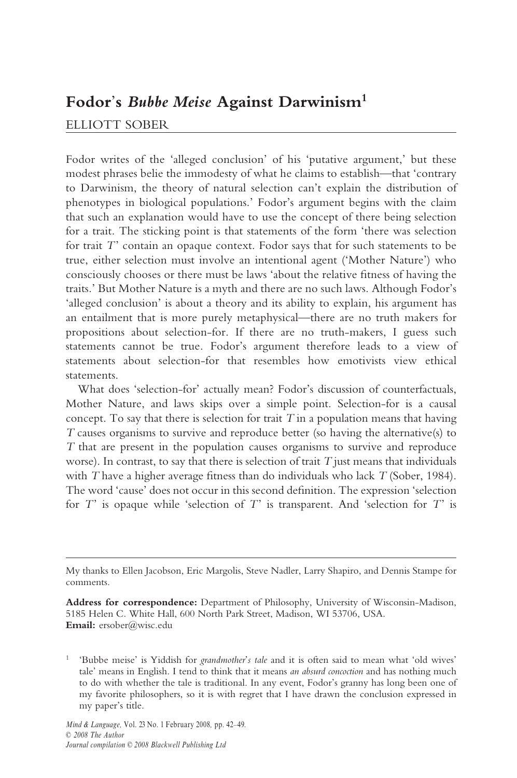## **Fodor** '**s** *Bubbe Meise* **Against Darwinism 1**

## ELLIOTT SOBER

Fodor writes of the 'alleged conclusion' of his 'putative argument,' but these modest phrases belie the immodesty of what he claims to establish—that 'contrary to Darwinism, the theory of natural selection can't explain the distribution of phenotypes in biological populations.' Fodor's argument begins with the claim that such an explanation would have to use the concept of there being selection for a trait. The sticking point is that statements of the form ' there was selection for trait *T*' contain an opaque context. Fodor says that for such statements to be true, either selection must involve an intentional agent ('Mother Nature') who consciously chooses or there must be laws 'about the relative fitness of having the traits.' But Mother Nature is a myth and there are no such laws. Although Fodor's 'alleged conclusion' is about a theory and its ability to explain, his argument has an entailment that is more purely metaphysical—there are no truth makers for propositions about selection-for. If there are no truth-makers, I guess such statements cannot be true. Fodor's argument therefore leads to a view of statements about selection-for that resembles how emotivists view ethical statements.

What does 'selection-for' actually mean? Fodor's discussion of counterfactuals, Mother Nature, and laws skips over a simple point. Selection-for is a causal concept. To say that there is selection for trait  $T$  in a population means that having *T* causes organisms to survive and reproduce better (so having the alternative(s) to *T* that are present in the population causes organisms to survive and reproduce worse). In contrast, to say that there is selection of trait *T* just means that individuals with *T* have a higher average fitness than do individuals who lack *T* (Sober, 1984). The word 'cause' does not occur in this second definition. The expression 'selection for *T* 'is opaque while ' selection of *T* 'is transparent. And ' selection for *T* 'is

My thanks to Ellen Jacobson, Eric Margolis, Steve Nadler, Larry Shapiro, and Dennis Stampe for comments.

**Address for correspondence:** Department of Philosophy, University of Wisconsin-Madison, 5185 Helen C. White Hall, 600 North Park Street, Madison, WI 53706, USA. **Email:** ersober@wisc.edu

<sup>&</sup>lt;sup>1</sup> 'Bubbe meise' is Yiddish for *grandmother's tale* and it is often said to mean what 'old wives' tale' means in English. I tend to think that it means *an absurd concoction* and has nothing much to do with whether the tale is traditional. In any event, Fodor's granny has long been one of my favorite philosophers, so it is with regret that I have drawn the conclusion expressed in my paper's title.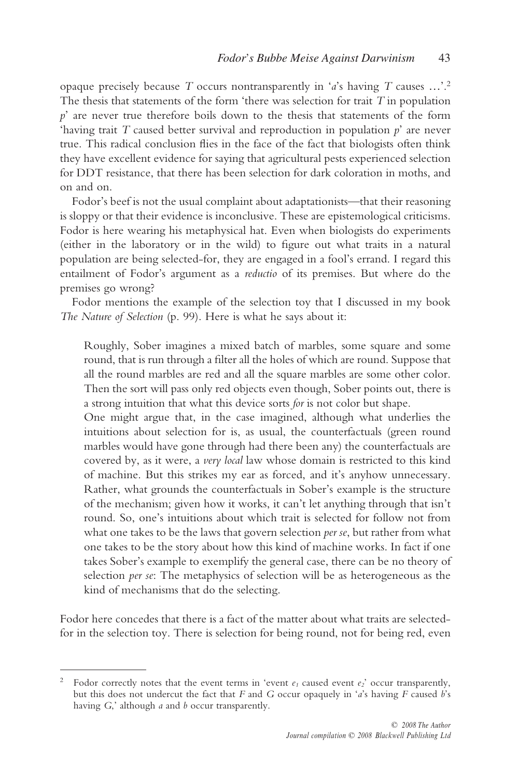opaque precisely because *T* occurs nontransparently in '*a*'s having *T* causes ...'.<sup>2</sup> The thesis that statements of the form ' there was selection for trait *T* in population *p*' are never true therefore boils down to the thesis that statements of the form ' having trait *T* caused better survival and reproduction in population *p*'are never true. This radical conclusion flies in the face of the fact that biologists often think they have excellent evidence for saying that agricultural pests experienced selection for DDT resistance, that there has been selection for dark coloration in moths, and on and on.

Fodor's beef is not the usual complaint about adaptationists—that their reasoning is sloppy or that their evidence is inconclusive. These are epistemological criticisms. Fodor is here wearing his metaphysical hat. Even when biologists do experiments (either in the laboratory or in the wild) to figure out what traits in a natural population are being selected-for, they are engaged in a fool's errand. I regard this entailment of Fodor's argument as a *reductio* of its premises. But where do the premises go wrong?

Fodor mentions the example of the selection toy that I discussed in my book *The Nature of Selection* (p. 99). Here is what he says about it:

Roughly, Sober imagines a mixed batch of marbles, some square and some round, that is run through a filter all the holes of which are round. Suppose that all the round marbles are red and all the square marbles are some other color. Then the sort will pass only red objects even though, Sober points out, there is a strong intuition that what this device sorts *for* is not color but shape.

One might argue that, in the case imagined, although what underlies the intuitions about selection for is, as usual, the counterfactuals (green round marbles would have gone through had there been any) the counterfactuals are covered by, as it were, a *very local* law whose domain is restricted to this kind of machine. But this strikes my ear as forced, and it's anyhow unnecessary. Rather, what grounds the counterfactuals in Sober's example is the structure of the mechanism; given how it works, it can't let anything through that isn't round. So, one's intuitions about which trait is selected for follow not from what one takes to be the laws that govern selection *per se*, but rather from what one takes to be the story about how this kind of machine works. In fact if one takes Sober's example to exemplify the general case, there can be no theory of selection *per se*: The metaphysics of selection will be as heterogeneous as the kind of mechanisms that do the selecting.

Fodor here concedes that there is a fact of the matter about what traits are selectedfor in the selection toy. There is selection for being round, not for being red, even

<sup>2</sup> Fodor correctly notes that the event terms in 'event  $e_1$  caused event  $e_2$ ' occur transparently, but this does not undercut the fact that  $F$  and  $G$  occur opaquely in 'a's having  $F$  caused  $b$ 's having *G*,' although *a* and *b* occur transparently.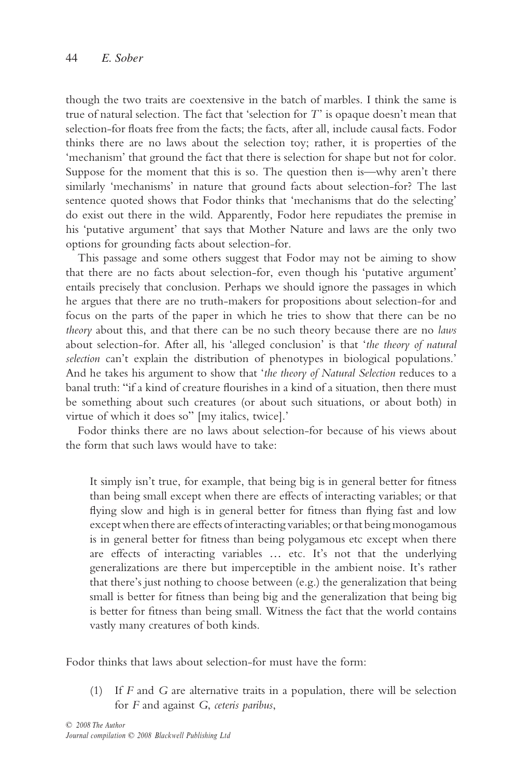though the two traits are coextensive in the batch of marbles. I think the same is true of natural selection. The fact that 'selection for *T*' is opaque doesn't mean that selection-for floats free from the facts; the facts, after all, include causal facts. Fodor thinks there are no laws about the selection toy; rather, it is properties of the 'mechanism' that ground the fact that there is selection for shape but not for color. Suppose for the moment that this is so. The question then is —why aren't there similarly 'mechanisms' in nature that ground facts about selection-for? The last sentence quoted shows that Fodor thinks that 'mechanisms that do the selecting' do exist out there in the wild. Apparently, Fodor here repudiates the premise in his 'putative argument' that says that Mother Nature and laws are the only two options for grounding facts about selection-for.

This passage and some others suggest that Fodor may not be aiming to show that there are no facts about selection-for, even though his 'putative argument' entails precisely that conclusion. Perhaps we should ignore the passages in which he argues that there are no truth-makers for propositions about selection-for and focus on the parts of the paper in which he tries to show that there can be no *theory* about this, and that there can be no such theory because there are no *laws* about selection-for. After all, his 'alleged conclusion' is that 'the theory of natural selection can't explain the distribution of phenotypes in biological populations.' And he takes his argument to show that ' *the theory of Natural Selection* reduces to a banal truth: "if a kind of creature flourishes in a kind of a situation, then there must be something about such creatures (or about such situations, or about both) in virtue of which it does so" [my italics, twice].'

Fodor thinks there are no laws about selection-for because of his views about the form that such laws would have to take:

It simply isn't true, for example, that being big is in general better for fitness than being small except when there are effects of interacting variables; or that flying slow and high is in general better for fitness than flying fast and low except when there are effects of interacting variables; or that being monogamous is in general better for fitness than being polygamous etc except when there are effects of interacting variables ... etc. It's not that the underlying generalizations are there but imperceptible in the ambient noise. It's rather that there's just nothing to choose between  $(e.g.)$  the generalization that being small is better for fitness than being big and the generalization that being big is better for fitness than being small. Witness the fact that the world contains vastly many creatures of both kinds.

Fodor thinks that laws about selection-for must have the form:

(1) If *F* and *G* are alternative traits in a population, there will be selection for *F* and against *G*, *ceteris paribus*,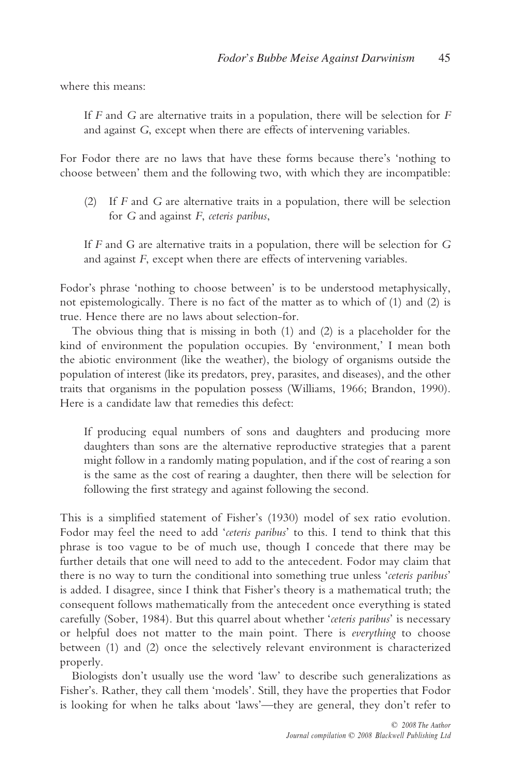where this means:

If *F* and *G* are alternative traits in a population, there will be selection for *F* and against *G*, except when there are effects of intervening variables.

For Fodor there are no laws that have these forms because there's 'nothing to choose between' them and the following two, with which they are incompatible:

(2) If *F* and *G* are alternative traits in a population, there will be selection for *G* and against *F*, *ceteris paribus*,

If *F* and G are alternative traits in a population, there will be selection for *G* and against *F*, except when there are effects of intervening variables.

Fodor's phrase 'nothing to choose between' is to be understood metaphysically, not epistemologically. There is no fact of the matter as to which of (1) and (2) is true. Hence there are no laws about selection-for.

The obvious thing that is missing in both (1) and (2) is a placeholder for the kind of environment the population occupies. By 'environment,' I mean both the abiotic environment (like the weather), the biology of organisms outside the population of interest (like its predators, prey, parasites, and diseases), and the other traits that organisms in the population possess (Williams, 1966; Brandon, 1990). Here is a candidate law that remedies this defect:

If producing equal numbers of sons and daughters and producing more daughters than sons are the alternative reproductive strategies that a parent might follow in a randomly mating population, and if the cost of rearing a son is the same as the cost of rearing a daughter, then there will be selection for following the first strategy and against following the second.

This is a simplified statement of Fisher's (1930) model of sex ratio evolution. Fodor may feel the need to add '*ceteris paribus*' to this. I tend to think that this phrase is too vague to be of much use, though I concede that there may be further details that one will need to add to the antecedent. Fodor may claim that there is no way to turn the conditional into something true unless ' *ceteris paribus*' is added. I disagree, since I think that Fisher's theory is a mathematical truth; the consequent follows mathematically from the antecedent once everything is stated carefully (Sober, 1984). But this quarrel about whether *'ceteris paribus'* is necessary or helpful does not matter to the main point. There is *everything* to choose between (1) and (2) once the selectively relevant environment is characterized properly.

Biologists don't usually use the word 'law' to describe such generalizations as Fisher's. Rather, they call them 'models'. Still, they have the properties that Fodor is looking for when he talks about 'laws'—they are general, they don't refer to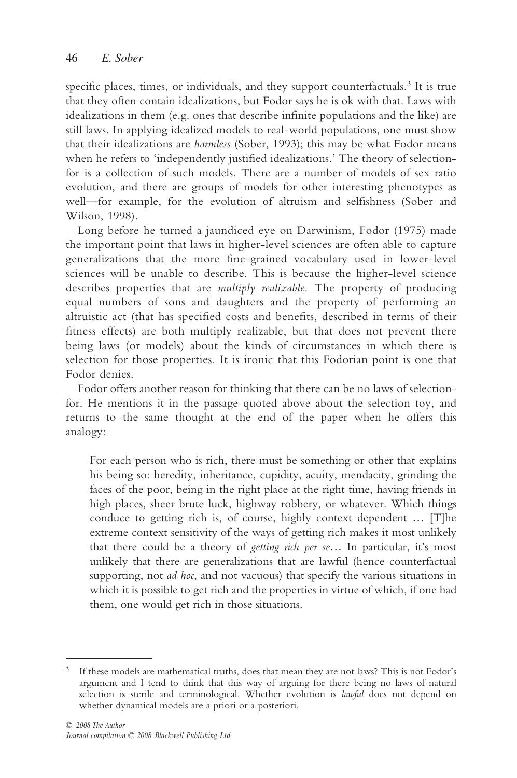specific places, times, or individuals, and they support counterfactuals.<sup>3</sup> It is true that they often contain idealizations, but Fodor says he is ok with that. Laws with idealizations in them (e.g. ones that describe infinite populations and the like) are still laws. In applying idealized models to real-world populations, one must show that their idealizations are *harmless* ( Sober, 1993 ); this may be what Fodor means when he refers to 'independently justified idealizations.' The theory of selectionfor is a collection of such models. There are a number of models of sex ratio evolution, and there are groups of models for other interesting phenotypes as well-for example, for the evolution of altruism and selfishness (Sober and Wilson, 1998).

Long before he turned a jaundiced eye on Darwinism, Fodor (1975) made the important point that laws in higher-level sciences are often able to capture generalizations that the more fine-grained vocabulary used in lower-level sciences will be unable to describe. This is because the higher-level science describes properties that are *multiply realizable.* The property of producing equal numbers of sons and daughters and the property of performing an altruistic act (that has specified costs and benefits, described in terms of their fitness effects) are both multiply realizable, but that does not prevent there being laws (or models) about the kinds of circumstances in which there is selection for those properties. It is ironic that this Fodorian point is one that Fodor denies.

Fodor offers another reason for thinking that there can be no laws of selectionfor. He mentions it in the passage quoted above about the selection toy, and returns to the same thought at the end of the paper when he offers this analogy:

For each person who is rich, there must be something or other that explains his being so: heredity, inheritance, cupidity, acuity, mendacity, grinding the faces of the poor, being in the right place at the right time, having friends in high places, sheer brute luck, highway robbery, or whatever. Which things conduce to getting rich is, of course, highly context dependent … [T]he extreme context sensitivity of the ways of getting rich makes it most unlikely that there could be a theory of *getting rich per se...* In particular, it's most unlikely that there are generalizations that are lawful (hence counterfactual supporting, not *ad hoc*, and not vacuous) that specify the various situations in which it is possible to get rich and the properties in virtue of which, if one had them, one would get rich in those situations.

<sup>3</sup> If these models are mathematical truths, does that mean they are not laws? This is not Fodor's argument and I tend to think that this way of arguing for there being no laws of natural selection is sterile and terminological. Whether evolution is *lawful* does not depend on whether dynamical models are a priori or a posteriori.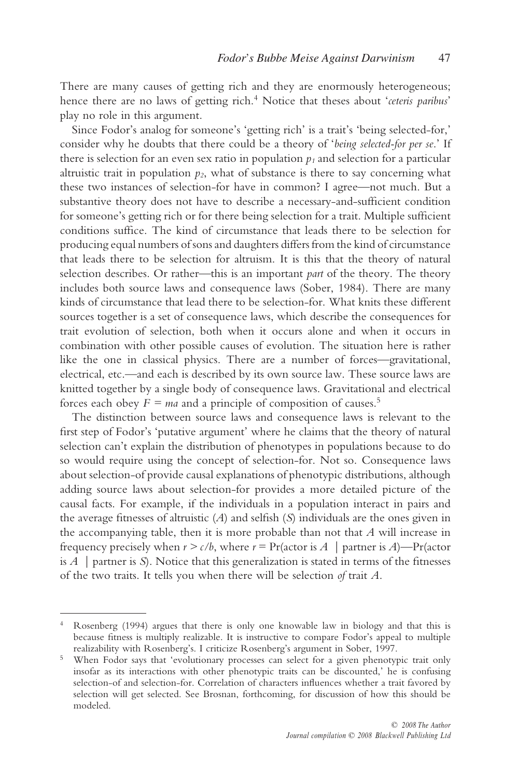There are many causes of getting rich and they are enormously heterogeneous; hence there are no laws of getting rich.<sup>4</sup> Notice that theses about '*ceteris paribus*' play no role in this argument.

Since Fodor's analog for someone's 'getting rich' is a trait's 'being selected-for,' consider why he doubts that there could be a theory of *'being selected-for per se.'* If there is selection for an even sex ratio in population  $p_i$  and selection for a particular altruistic trait in population  $p_2$ , what of substance is there to say concerning what these two instances of selection-for have in common? I agree—not much. But a substantive theory does not have to describe a necessary-and-sufficient condition for someone's getting rich or for there being selection for a trait. Multiple sufficient conditions suffice. The kind of circumstance that leads there to be selection for producing equal numbers of sons and daughters differs from the kind of circumstance that leads there to be selection for altruism. It is this that the theory of natural selection describes. Or rather—this is an important *part* of the theory. The theory includes both source laws and consequence laws (Sober, 1984). There are many kinds of circumstance that lead there to be selection-for. What knits these different sources together is a set of consequence laws, which describe the consequences for trait evolution of selection, both when it occurs alone and when it occurs in combination with other possible causes of evolution. The situation here is rather like the one in classical physics. There are a number of forces—gravitational, electrical, etc. — and each is described by its own source law. These source laws are knitted together by a single body of consequence laws. Gravitational and electrical forces each obey  $F = ma$  and a principle of composition of causes.<sup>5</sup>

The distinction between source laws and consequence laws is relevant to the first step of Fodor's 'putative argument' where he claims that the theory of natural selection can't explain the distribution of phenotypes in populations because to do so would require using the concept of selection-for. Not so. Consequence laws about selection-of provide causal explanations of phenotypic distributions, although adding source laws about selection-for provides a more detailed picture of the causal facts. For example, if the individuals in a population interact in pairs and the average fitnesses of altruistic  $(A)$  and selfish  $(S)$  individuals are the ones given in the accompanying table, then it is more probable than not that *A* will increase in frequency precisely when  $r > c/b$ , where  $r = Pr(\arctan A)$  partner is *A*)—Pr(actor is  $A \mid$  partner is *S*). Notice that this generalization is stated in terms of the fitnesses of the two traits. It tells you when there will be selection *of* trait *A*.

<sup>&</sup>lt;sup>4</sup> Rosenberg (1994) argues that there is only one knowable law in biology and that this is because fitness is multiply realizable. It is instructive to compare Fodor's appeal to multiple realizability with Rosenberg's. I criticize Rosenberg's argument in Sober, 1997.

<sup>&</sup>lt;sup>5</sup> When Fodor says that 'evolutionary processes can select for a given phenotypic trait only insofar as its interactions with other phenotypic traits can be discounted, 'he is confusing selection-of and selection-for. Correlation of characters influences whether a trait favored by selection will get selected. See Brosnan, forthcoming , for discussion of how this should be modeled.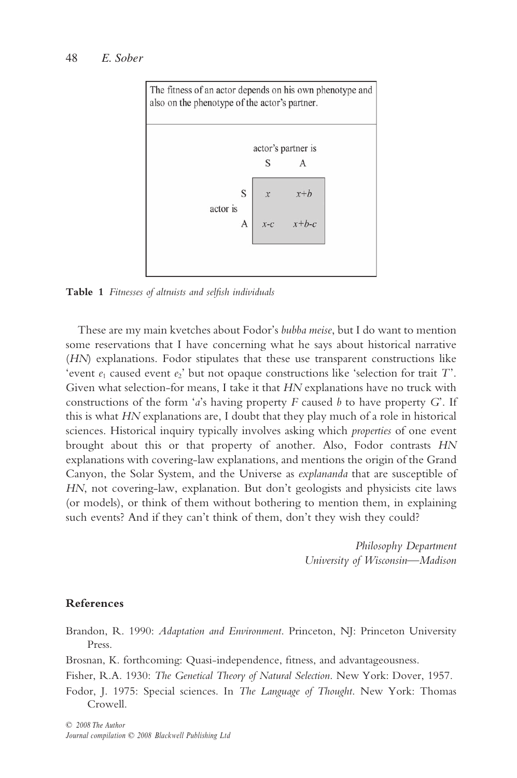

**Table 1** *Fitnesses of altruists and selfish individuals* 

These are my main kvetches about Fodor's *bubba meise*, but I do want to mention some reservations that I have concerning what he says about historical narrative (*HN*) explanations. Fodor stipulates that these use transparent constructions like ' event  $e_1$  caused event  $e_2$ ' but not opaque constructions like 'selection for trait  $T$ '. Given what selection-for means, I take it that *HN* explanations have no truck with constructions of the form '*a*'s having property *F* caused *b* to have property *G*'. If this is what *HN* explanations are, I doubt that they play much of a role in historical sciences. Historical inquiry typically involves asking which *properties* of one event brought about this or that property of another. Also, Fodor contrasts *HN* explanations with covering-law explanations, and mentions the origin of the Grand Canyon, the Solar System, and the Universe as *explananda* that are susceptible of *HN*, not covering-law, explanation. But don't geologists and physicists cite laws (or models), or think of them without bothering to mention them, in explaining such events? And if they can't think of them, don't they wish they could?

> *aPhilosophy Department University of Wisconsin* —*Madison*

## **References**

Brandon, R. 1990: *Adaptation and Environment*. Princeton, NJ: Princeton University Press .

Brosnan, K. forthcoming: Quasi-independence, fitness, and advantageousness.

Fisher, R.A. 1930: *The Genetical Theory of Natural Selection*. New York: Dover, 1957.

Fodor, J. 1975: Special sciences. In *The Language of Thought*. New York: Thomas Crowell.